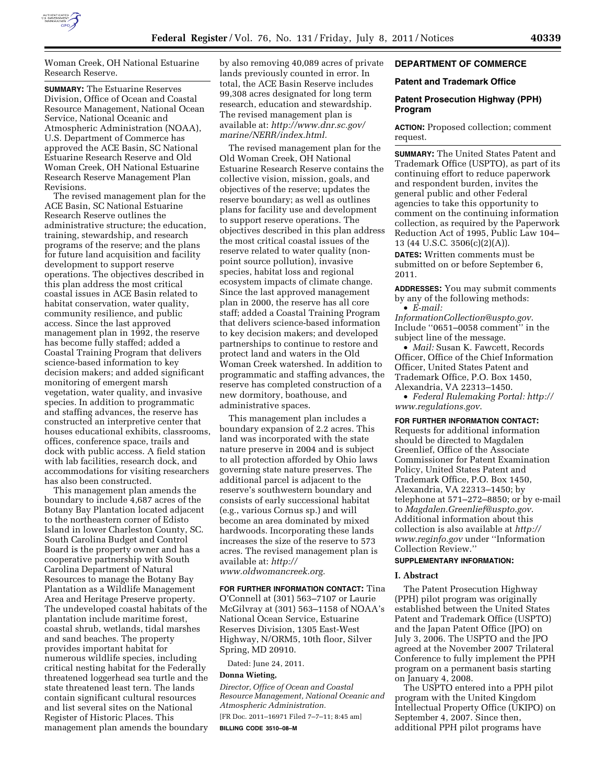

Woman Creek, OH National Estuarine Research Reserve.

**SUMMARY:** The Estuarine Reserves Division, Office of Ocean and Coastal Resource Management, National Ocean Service, National Oceanic and Atmospheric Administration (NOAA), U.S. Department of Commerce has approved the ACE Basin, SC National Estuarine Research Reserve and Old Woman Creek, OH National Estuarine Research Reserve Management Plan Revisions.

The revised management plan for the ACE Basin, SC National Estuarine Research Reserve outlines the administrative structure; the education, training, stewardship, and research programs of the reserve; and the plans for future land acquisition and facility development to support reserve operations. The objectives described in this plan address the most critical coastal issues in ACE Basin related to habitat conservation, water quality, community resilience, and public access. Since the last approved management plan in 1992, the reserve has become fully staffed; added a Coastal Training Program that delivers science-based information to key decision makers; and added significant monitoring of emergent marsh vegetation, water quality, and invasive species. In addition to programmatic and staffing advances, the reserve has constructed an interpretive center that houses educational exhibits, classrooms, offices, conference space, trails and dock with public access. A field station with lab facilities, research dock, and accommodations for visiting researchers has also been constructed.

This management plan amends the boundary to include 4,687 acres of the Botany Bay Plantation located adjacent to the northeastern corner of Edisto Island in lower Charleston County, SC. South Carolina Budget and Control Board is the property owner and has a cooperative partnership with South Carolina Department of Natural Resources to manage the Botany Bay Plantation as a Wildlife Management Area and Heritage Preserve property. The undeveloped coastal habitats of the plantation include maritime forest, coastal shrub, wetlands, tidal marshes and sand beaches. The property provides important habitat for numerous wildlife species, including critical nesting habitat for the Federally threatened loggerhead sea turtle and the state threatened least tern. The lands contain significant cultural resources and list several sites on the National Register of Historic Places. This management plan amends the boundary by also removing 40,089 acres of private lands previously counted in error. In total, the ACE Basin Reserve includes 99,308 acres designated for long term research, education and stewardship. The revised management plan is available at: *[http://www.dnr.sc.gov/](http://www.dnr.sc.gov/marine/NERR/index.html) [marine/NERR/index.html.](http://www.dnr.sc.gov/marine/NERR/index.html)* 

The revised management plan for the Old Woman Creek, OH National Estuarine Research Reserve contains the collective vision, mission, goals, and objectives of the reserve; updates the reserve boundary; as well as outlines plans for facility use and development to support reserve operations. The objectives described in this plan address the most critical coastal issues of the reserve related to water quality (nonpoint source pollution), invasive species, habitat loss and regional ecosystem impacts of climate change. Since the last approved management plan in 2000, the reserve has all core staff; added a Coastal Training Program that delivers science-based information to key decision makers; and developed partnerships to continue to restore and protect land and waters in the Old Woman Creek watershed. In addition to programmatic and staffing advances, the reserve has completed construction of a new dormitory, boathouse, and administrative spaces.

This management plan includes a boundary expansion of 2.2 acres. This land was incorporated with the state nature preserve in 2004 and is subject to all protection afforded by Ohio laws governing state nature preserves. The additional parcel is adjacent to the reserve's southwestern boundary and consists of early successional habitat (e.g., various Cornus sp.) and will become an area dominated by mixed hardwoods. Incorporating these lands increases the size of the reserve to 573 acres. The revised management plan is available at: *[http://](http://www.oldwomancreek.org) [www.oldwomancreek.org.](http://www.oldwomancreek.org)* 

**FOR FURTHER INFORMATION CONTACT:** Tina O'Connell at (301) 563–7107 or Laurie McGilvray at (301) 563–1158 of NOAA's National Ocean Service, Estuarine Reserves Division, 1305 East-West Highway, N/ORM5, 10th floor, Silver Spring, MD 20910.

Dated: June 24, 2011.

#### **Donna Wieting,**

*Director, Office of Ocean and Coastal Resource Management, National Oceanic and Atmospheric Administration.* 

[FR Doc. 2011–16971 Filed 7–7–11; 8:45 am] **BILLING CODE 3510–08–M** 

# **DEPARTMENT OF COMMERCE**

#### **Patent and Trademark Office**

#### **Patent Prosecution Highway (PPH) Program**

**ACTION:** Proposed collection; comment request.

**SUMMARY:** The United States Patent and Trademark Office (USPTO), as part of its continuing effort to reduce paperwork and respondent burden, invites the general public and other Federal agencies to take this opportunity to comment on the continuing information collection, as required by the Paperwork Reduction Act of 1995, Public Law 104– 13 (44 U.S.C. 3506(c)(2)(A)).

**DATES:** Written comments must be submitted on or before September 6, 2011.

**ADDRESSES:** You may submit comments by any of the following methods: • *E-mail:* 

*[InformationCollection@uspto.gov](mailto:InformationCollection@uspto.gov)*. Include ''0651–0058 comment'' in the subject line of the message.

• *Mail:* Susan K. Fawcett, Records Officer, Office of the Chief Information Officer, United States Patent and Trademark Office, P.O. Box 1450, Alexandria, VA 22313–1450.

• *Federal Rulemaking Portal: [http://](http://www.regulations.gov) [www.regulations.gov](http://www.regulations.gov)*.

**FOR FURTHER INFORMATION CONTACT:**  Requests for additional information should be directed to Magdalen Greenlief, Office of the Associate Commissioner for Patent Examination Policy, United States Patent and Trademark Office, P.O. Box 1450, Alexandria, VA 22313–1450; by telephone at 571–272–8850; or by e-mail to *[Magdalen.Greenlief@uspto.gov](mailto:Magdalen.Greenlief@uspto.gov)*. Additional information about this collection is also available at *[http://](http://www.reginfo.gov)  [www.reginfo.gov](http://www.reginfo.gov)* under ''Information Collection Review.''

#### **SUPPLEMENTARY INFORMATION:**

#### **I. Abstract**

The Patent Prosecution Highway (PPH) pilot program was originally established between the United States Patent and Trademark Office (USPTO) and the Japan Patent Office (JPO) on July 3, 2006. The USPTO and the JPO agreed at the November 2007 Trilateral Conference to fully implement the PPH program on a permanent basis starting on January 4, 2008.

The USPTO entered into a PPH pilot program with the United Kingdom Intellectual Property Office (UKIPO) on September 4, 2007. Since then, additional PPH pilot programs have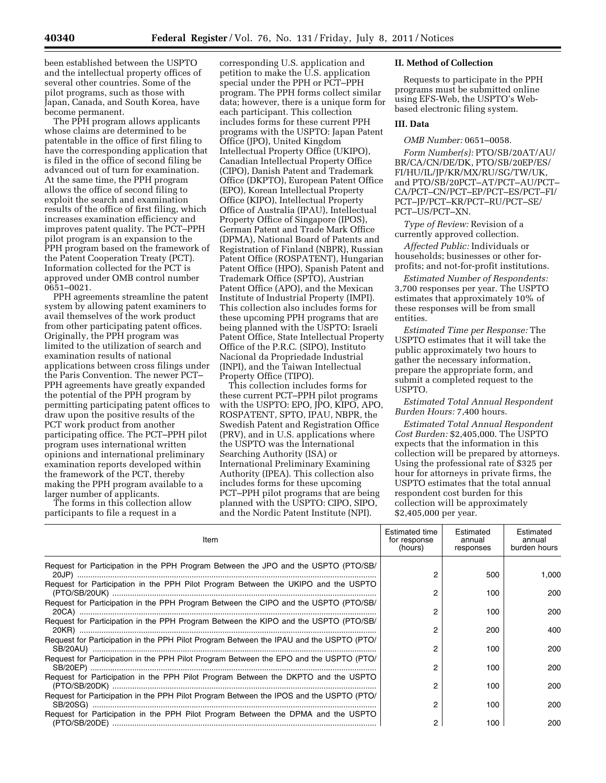been established between the USPTO and the intellectual property offices of several other countries. Some of the pilot programs, such as those with Japan, Canada, and South Korea, have become permanent.

The PPH program allows applicants whose claims are determined to be patentable in the office of first filing to have the corresponding application that is filed in the office of second filing be advanced out of turn for examination. At the same time, the PPH program allows the office of second filing to exploit the search and examination results of the office of first filing, which increases examination efficiency and improves patent quality. The PCT–PPH pilot program is an expansion to the PPH program based on the framework of the Patent Cooperation Treaty (PCT). Information collected for the PCT is approved under OMB control number 0651–0021.

PPH agreements streamline the patent system by allowing patent examiners to avail themselves of the work product from other participating patent offices. Originally, the PPH program was limited to the utilization of search and examination results of national applications between cross filings under the Paris Convention. The newer PCT– PPH agreements have greatly expanded the potential of the PPH program by permitting participating patent offices to draw upon the positive results of the PCT work product from another participating office. The PCT–PPH pilot program uses international written opinions and international preliminary examination reports developed within the framework of the PCT, thereby making the PPH program available to a larger number of applicants.

The forms in this collection allow participants to file a request in a

corresponding U.S. application and petition to make the U.S. application special under the PPH or PCT–PPH program. The PPH forms collect similar data; however, there is a unique form for each participant. This collection includes forms for these current PPH programs with the USPTO: Japan Patent Office (JPO), United Kingdom Intellectual Property Office (UKIPO), Canadian Intellectual Property Office (CIPO), Danish Patent and Trademark Office (DKPTO), European Patent Office (EPO), Korean Intellectual Property Office (KIPO), Intellectual Property Office of Australia (IPAU), Intellectual Property Office of Singapore (IPOS), German Patent and Trade Mark Office (DPMA), National Board of Patents and Registration of Finland (NBPR), Russian Patent Office (ROSPATENT), Hungarian Patent Office (HPO), Spanish Patent and Trademark Office (SPTO), Austrian Patent Office (APO), and the Mexican Institute of Industrial Property (IMPI). This collection also includes forms for these upcoming PPH programs that are being planned with the USPTO: Israeli Patent Office, State Intellectual Property Office of the P.R.C. (SIPO), Instituto Nacional da Propriedade Industrial (INPI), and the Taiwan Intellectual Property Office (TIPO).

This collection includes forms for these current PCT–PPH pilot programs with the USPTO: EPO, JPO, KIPO, APO, ROSPATENT, SPTO, IPAU, NBPR, the Swedish Patent and Registration Office (PRV), and in U.S. applications where the USPTO was the International Searching Authority (ISA) or International Preliminary Examining Authority (IPEA). This collection also includes forms for these upcoming PCT–PPH pilot programs that are being planned with the USPTO: CIPO, SIPO, and the Nordic Patent Institute (NPI).

#### **II. Method of Collection**

Requests to participate in the PPH programs must be submitted online using EFS-Web, the USPTO's Webbased electronic filing system.

## **III. Data**

*OMB Number:* 0651–0058.

*Form Number(s):* PTO/SB/20AT/AU/ BR/CA/CN/DE/DK, PTO/SB/20EP/ES/ FI/HU/IL/JP/KR/MX/RU/SG/TW/UK, and PTO/SB/20PCT–AT/PCT–AU/PCT– CA/PCT–CN/PCT–EP/PCT–ES/PCT–FI/ PCT–JP/PCT–KR/PCT–RU/PCT–SE/ PCT–US/PCT–XN.

*Type of Review:* Revision of a currently approved collection.

*Affected Public:* Individuals or households; businesses or other forprofits; and not-for-profit institutions.

*Estimated Number of Respondents:*  3,700 responses per year. The USPTO estimates that approximately 10% of these responses will be from small entities.

*Estimated Time per Response:* The USPTO estimates that it will take the public approximately two hours to gather the necessary information, prepare the appropriate form, and submit a completed request to the USPTO.

*Estimated Total Annual Respondent Burden Hours:* 7,400 hours.

*Estimated Total Annual Respondent Cost Burden:* \$2,405,000. The USPTO expects that the information in this collection will be prepared by attorneys. Using the professional rate of \$325 per hour for attorneys in private firms, the USPTO estimates that the total annual respondent cost burden for this collection will be approximately \$2,405,000 per year.

| Item                                                                                    | Estimated time<br>for response<br>(hours) | Estimated<br>annual<br>responses | Estimated<br>annual<br>burden hours |
|-----------------------------------------------------------------------------------------|-------------------------------------------|----------------------------------|-------------------------------------|
| Request for Participation in the PPH Program Between the JPO and the USPTO (PTO/SB/     | 2                                         | 500                              | 1,000                               |
| Request for Participation in the PPH Pilot Program Between the UKIPO and the USPTO      | 2                                         | 100                              | 200                                 |
| Request for Participation in the PPH Program Between the CIPO and the USPTO (PTO/SB/    | 2                                         | 100                              | 200                                 |
| Request for Participation in the PPH Program Between the KIPO and the USPTO (PTO/SB/    | 2                                         | 200                              | 400                                 |
| Request for Participation in the PPH Pilot Program Between the IPAU and the USPTO (PTO/ | 2                                         | 100                              | 200                                 |
| Request for Participation in the PPH Pilot Program Between the EPO and the USPTO (PTO/  | 2                                         | 100                              | 200                                 |
| Request for Participation in the PPH Pilot Program Between the DKPTO and the USPTO      | 2                                         | 100                              | 200                                 |
| Request for Participation in the PPH Pilot Program Between the IPOS and the USPTO (PTO/ | 2                                         | 100                              | 200                                 |
| Request for Participation in the PPH Pilot Program Between the DPMA and the USPTO       | 2                                         | 100                              | 200                                 |